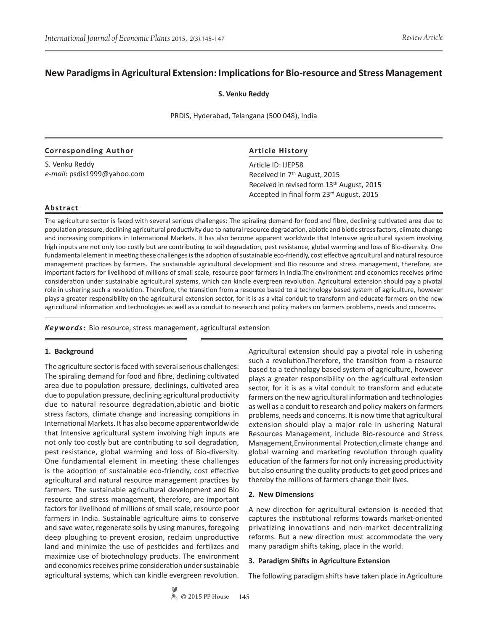# **New Paradigms in Agricultural Extension: Implications for Bio-resource and Stress Management**

**S. Venku Reddy**

PRDIS, Hyderabad, Telangana (500 048), India

### **Corresponding Author**

S. Venku Reddy *e-mail*: psdis1999@yahoo.com

## **Article History**

Article ID: IJEP58 Received in 7th August, 2015 Received in revised form 13<sup>th</sup> August, 2015 Accepted in final form 23rd August, 2015

### **Abstract**

The agriculture sector is faced with several serious challenges: The spiraling demand for food and fibre, declining cultivated area due to population pressure, declining agricultural productivity due to natural resource degradation, abiotic and biotic stress factors, climate change and increasing compitions in International Markets. It has also become apparent worldwide that Intensive agricultural system involving high inputs are not only too costly but are contributing to soil degradation, pest resistance, global warming and loss of Bio-diversity. One fundamental element in meeting these challenges is the adoption of sustainable eco-friendly, cost effective agricultural and natural resource management practices by farmers. The sustainable agricultural development and Bio resource and stress management, therefore, are important factors for livelihood of millions of small scale, resource poor farmers in India.The environment and economics receives prime consideration under sustainable agricultural systems, which can kindle evergreen revolution. Agricultural extension should pay a pivotal role in ushering such a revolution. Therefore, the transition from a resource based to a technology based system of agriculture, however plays a greater responsibility on the agricultural extension sector, for it is as a vital conduit to transform and educate farmers on the new agricultural information and technologies as well as a conduit to research and policy makers on farmers problems, needs and concerns.

*Keywords:* Bio resource, stress management, agricultural extension

#### **1. Background**

The agriculture sector is faced with several serious challenges: The spiraling demand for food and fibre, declining cultivated area due to population pressure, declinings, cultivated area due to population pressure, declining agricultural productivity due to natural resource degradation,abiotic and biotic stress factors, climate change and increasing compitions in International Markets. It has also become apparentworldwide that Intensive agricultural system involving high inputs are not only too costly but are contributing to soil degradation, pest resistance, global warming and loss of Bio-diversity. One fundamental element in meeting these challenges is the adoption of sustainable eco-friendly, cost effective agricultural and natural resource management practices by farmers. The sustainable agricultural development and Bio resource and stress management, therefore, are important factors for livelihood of millions of small scale, resource poor farmers in India. Sustainable agriculture aims to conserve and save water, regenerate soils by using manures, foregoing deep ploughing to prevent erosion, reclaim unproductive land and minimize the use of pesticides and fertilizes and maximize use of biotechnology products. The environment and economics receives prime consideration under sustainable agricultural systems, which can kindle evergreen revolution.

Agricultural extension should pay a pivotal role in ushering such a revolution.Therefore, the transition from a resource based to a technology based system of agriculture, however plays a greater responsibility on the agricultural extension sector, for it is as a vital conduit to transform and educate farmers on the new agricultural information and technologies as well as a conduit to research and policy makers on farmers problems, needs and concerns. It is now time that agricultural extension should play a major role in ushering Natural Resources Management, include Bio-resource and Stress Management,Environmental Protection,climate change and global warning and marketing revolution through quality education of the farmers for not only increasing productivity but also ensuring the quality products to get good prices and thereby the millions of farmers change their lives.

#### **2. New Dimensions**

A new direction for agricultural extension is needed that captures the institutional reforms towards market-oriented privatizing innovations and non-market decentralizing reforms. But a new direction must accommodate the very many paradigm shifts taking, place in the world.

#### **3. Paradigm Shifts in Agriculture Extension**

The following paradigm shifts have taken place in Agriculture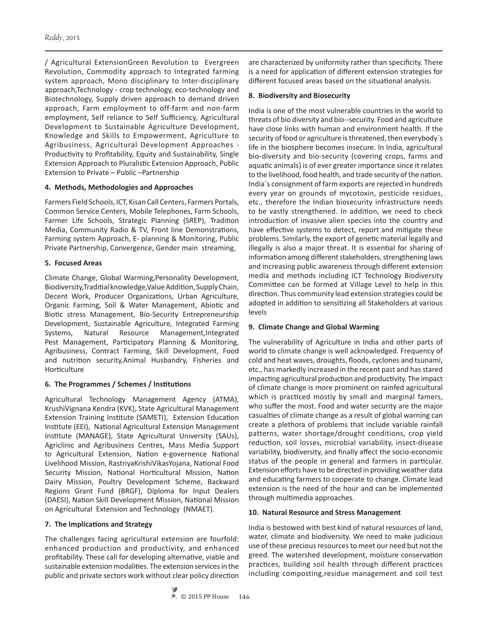/ Agricultural ExtensionGreen Revolution to Evergreen Revolution, Commodity approach to Integrated farming system approach, Mono disciplinary to Inter-disciplinary approach,Technology - crop technology, eco-technology and Biotechnology, Supply driven approach to demand driven approach, Farm employment to off-farm and non-farm employment, Self reliance to Self Sufficiency, Agricultural Development to Sustainable Agriculture Development, Knowledge and Skills to Empowerment, Agriculture to Agribusiness, Agricultural Development Approaches - Productivity to Profitability, Equity and Sustainability, Single Extension Approach to Pluralistic Extension Approach, Public Extension to Private – Public –Partnership

## **4. Methods, Methodologies and Approaches**

Farmers Field Schools, ICT, Kisan Call Centers, Farmers Portals, Common Service Centers, Mobile Telephones, Farm Schools, Farmer Life Schools, Strategic Planning (SREP), Tradition Media, Community Radio & TV, Front line Demonstrations, Farming system Approach, E- planning & Monitoring, Public Private Partnership, Convergence, Gender main streaming,

## **5. Focused Areas**

Climate Change, Global Warming,Personality Development, Biodiversity,Traditial knowledge,Value Addition, Supply Chain, Decent Work, Producer Organizations, Urban Agriculture, Organic Farming, Soil & Water Management, Abiotic and Biotic stress Management, Bio-Security Entrepreneurship Development, Sustainable Agriculture, Integrated Farming Systems, Natural Resource Management,Integrated Pest Management, Participatory Planning & Monitoring, Agribusiness, Contract Farming, Skill Development, Food and nutrition security,Animal Husbandry, Fisheries and Horticulture

## **6. The Programmes / Schemes / Institutions**

Agricultural Technology Management Agency (ATMA), KrushiVignana Kendra (KVK), State Agricultural Management Extension Training Institute (SAMETI), Extension Education Institute (EEI), National Agricultural Extension Management Institute (MANAGE), State Agricultural University (SAUs), Agriclinic and Agribusiness Centres, Mass Media Support to Agricultural Extension, Nation e-governence National Livelihood Mission, RastriyaKrishiVikasYojana, National Food Security Mission, National Horticultural Mission, Nation Dairy Mission, Poultry Development Scheme, Backward Regions Grant Fund (BRGF), Diploma for Input Dealers (DAESI), Nation Skill Development Mission, National Mission on Agricultural Extension and Technology (NMAET).

## **7. The Implications and Strategy**

The challenges facing agricultural extension are fourfold: enhanced production and productivity, and enhanced profitability. These call for developing alternative, viable and sustainable extension modalities. The extension services in the public and private sectors work without clear policy direction are characterized by uniformity rather than specificity. There is a need for application of different extension strategies for different focused areas based on the situational analysis.

## **8. Biodiversity and Biosecurity**

India is one of the most vulnerable countries in the world to threats of bio diversity and bio--security. Food and agriculture have close links with human and environment health. If the security of food or agriculture is threatened, then everybody`s life in the biosphere becomes insecure. In India, agricultural bio-diversity and bio-security (covering crops, farms and aquatic animals) is of ever greater importance since it relates to the livelihood, food health, and trade security of the nation. India`s consignment of farm exports are rejected in hundreds every year on grounds of mycotoxin, pesticide residues, etc., therefore the Indian biosecurity infrastructure needs to be vastly strengthened. In addition, we need to check introduction of invasive alien species into the country and have effective systems to detect, report and mitigate these problems. Similarly, the export of genetic material legally and illegally is also a major threat. It is essential for sharing of information among different stakeholders, strengthening laws and increasing public awareness through different extension media and methods including ICT Technology Biodiversity Committee can be formed at Village Level to help in this direction. Thus community lead extension strategies could be adopted in addition to sensitizing all Stakeholders at various levels

## **9. Climate Change and Global Warming**

The vulnerability of Agriculture in India and other parts of world to climate change is well acknowledged. Frequency of cold and heat waves, droughts, floods, cyclones and tsunami, etc., has markedly increased in the recent past and has stared impacting agricultural production and productivity. The impact of climate change is more prominent on rainfed agricultural which is practiced mostly by small and marginal famers, who suffer the most. Food and water security are the major casualties of climate change as a result of global warning can create a plethora of problems that include variable rainfall patterns, water shortage/drought conditions, crop yield reduction, soil losses, microbial variability, insect-disease variability, biodiversity, and finally affect the socio-economic status of the people in general and farmers in particular. Extension efforts have to be directed in providing weather data and educating farmers to cooperate to change. Climate lead extension is the need of the hour and can be implemented through multimedia approaches.

### **10. Natural Resource and Stress Management**

India is bestowed with best kind of natural resources of land, water, climate and biodiversity. We need to make judicious use of these precious resources to meet our need but not the greed. The watershed development, moisture conservation practices, building soil health through different practices including composting,residue management and soil test